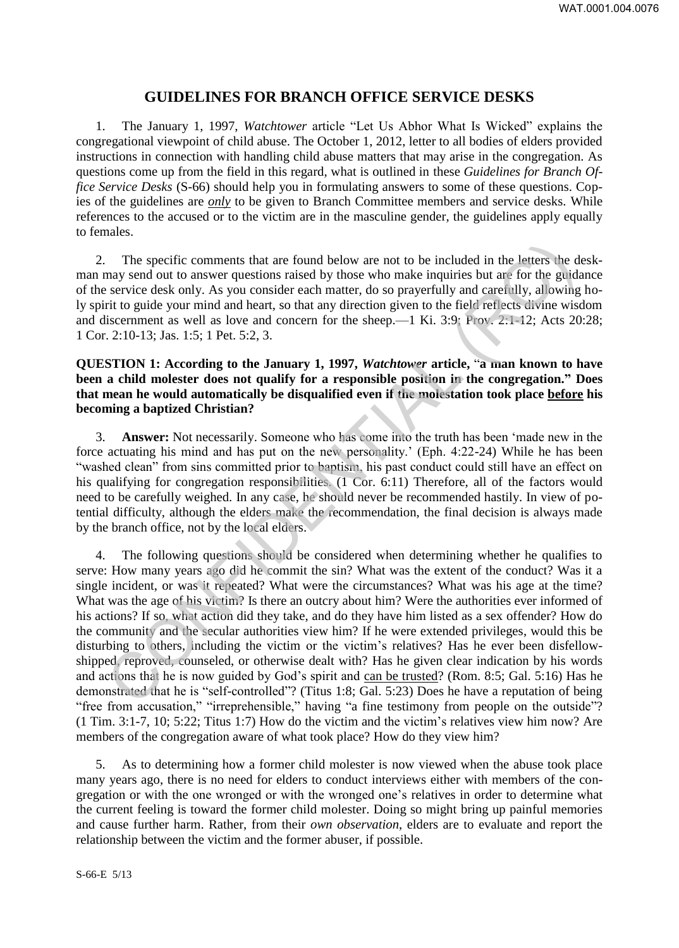# **GUIDELINES FOR BRANCH OFFICE SERVICE DESKS**

1. The January 1, 1997, *Watchtower* article "Let Us Abhor What Is Wicked" explains the congregational viewpoint of child abuse. The October 1, 2012, letter to all bodies of elders provided instructions in connection with handling child abuse matters that may arise in the congregation. As questions come up from the field in this regard, what is outlined in these *Guidelines for Branch Office Service Desks* (S-66) should help you in formulating answers to some of these questions. Copies of the guidelines are *only* to be given to Branch Committee members and service desks. While references to the accused or to the victim are in the masculine gender, the guidelines apply equally to females.

2. The specific comments that are found below are not to be included in the letters the deskman may send out to answer questions raised by those who make inquiries but are for the guidance of the service desk only. As you consider each matter, do so prayerfully and carefully, allowing holy spirit to guide your mind and heart, so that any direction given to the field reflects divine wisdom and discernment as well as love and concern for the sheep.—1 Ki. 3:9; Prov. 2:1-12; Acts 20:28; 1 Cor. 2:10-13; Jas. 1:5; 1 Pet. 5:2, 3.

### **QUESTION 1: According to the January 1, 1997,** *Watchtower* **article,** "**a man known to have been a child molester does not qualify for a responsible position in the congregation." Does that mean he would automatically be disqualified even if the molestation took place before his becoming a baptized Christian?**

3. **Answer:** Not necessarily. Someone who has come into the truth has been 'made new in the force actuating his mind and has put on the new personality.' (Eph. 4:22-24) While he has been "washed clean" from sins committed prior to baptism, his past conduct could still have an effect on his qualifying for congregation responsibilities. (1 Cor. 6:11) Therefore, all of the factors would need to be carefully weighed. In any case, he should never be recommended hastily. In view of potential difficulty, although the elders make the recommendation, the final decision is always made by the branch office, not by the local elders.

4. The following questions should be considered when determining whether he qualifies to serve: How many years ago did he commit the sin? What was the extent of the conduct? Was it a single incident, or was it repeated? What were the circumstances? What was his age at the time? What was the age of his victim? Is there an outcry about him? Were the authorities ever informed of his actions? If so, what action did they take, and do they have him listed as a sex offender? How do the community and the secular authorities view him? If he were extended privileges, would this be disturbing to others, including the victim or the victim's relatives? Has he ever been disfellowshipped, reproved, counseled, or otherwise dealt with? Has he given clear indication by his words and actions that he is now guided by God's spirit and can be trusted? (Rom. 8:5; Gal. 5:16) Has he demonstrated that he is "self-controlled"? (Titus 1:8; Gal. 5:23) Does he have a reputation of being "free from accusation," "irreprehensible," having "a fine testimony from people on the outside"? (1 Tim. 3:1-7, 10; 5:22; Titus 1:7) How do the victim and the victim's relatives view him now? Are members of the congregation aware of what took place? How do they view him? The specific comments that are found below are not to be included in the letters the d<br>any send out to answer questions raised by those who make inquiries but are for the guids<br>restricted eask only. As you consider each m

5. As to determining how a former child molester is now viewed when the abuse took place many years ago, there is no need for elders to conduct interviews either with members of the congregation or with the one wronged or with the wronged one's relatives in order to determine what the current feeling is toward the former child molester. Doing so might bring up painful memories and cause further harm. Rather, from their *own observation*, elders are to evaluate and report the relationship between the victim and the former abuser, if possible.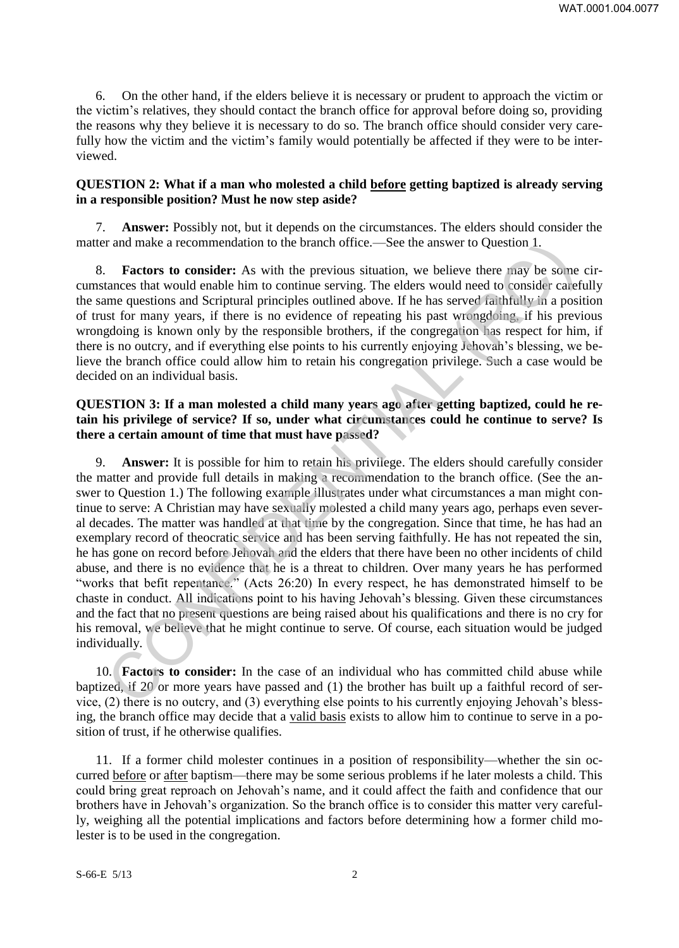6. On the other hand, if the elders believe it is necessary or prudent to approach the victim or the victim's relatives, they should contact the branch office for approval before doing so, providing the reasons why they believe it is necessary to do so. The branch office should consider very carefully how the victim and the victim's family would potentially be affected if they were to be interviewed.

# **QUESTION 2: What if a man who molested a child before getting baptized is already serving in a responsible position? Must he now step aside?**

7. **Answer:** Possibly not, but it depends on the circumstances. The elders should consider the matter and make a recommendation to the branch office.—See the answer to Question 1.

8. **Factors to consider:** As with the previous situation, we believe there may be some circumstances that would enable him to continue serving. The elders would need to consider carefully the same questions and Scriptural principles outlined above. If he has served faithfully in a position of trust for many years, if there is no evidence of repeating his past wrongdoing, if his previous wrongdoing is known only by the responsible brothers, if the congregation has respect for him, if there is no outcry, and if everything else points to his currently enjoying Jehovah's blessing, we believe the branch office could allow him to retain his congregation privilege. Such a case would be decided on an individual basis.

# **QUESTION 3: If a man molested a child many years ago after getting baptized, could he retain his privilege of service? If so, under what circumstances could he continue to serve? Is there a certain amount of time that must have passed?**

9. **Answer:** It is possible for him to retain his privilege. The elders should carefully consider the matter and provide full details in making a recommendation to the branch office. (See the answer to Question 1.) The following example illustrates under what circumstances a man might continue to serve: A Christian may have sexually molested a child many years ago, perhaps even several decades. The matter was handled at that time by the congregation. Since that time, he has had an exemplary record of theocratic service and has been serving faithfully. He has not repeated the sin, he has gone on record before Jehovah and the elders that there have been no other incidents of child abuse, and there is no evidence that he is a threat to children. Over many years he has performed "works that befit repentance." (Acts 26:20) In every respect, he has demonstrated himself to be chaste in conduct. All indications point to his having Jehovah's blessing. Given these circumstances and the fact that no present questions are being raised about his qualifications and there is no cry for his removal, we believe that he might continue to serve. Of course, each situation would be judged individually. rand make a recommendation to the branch office.—See the answer to Question 1.<br>
Factors to consider: As with the previous situation, we believe there may be some<br>
Factors to consider: As with the previous situation, we be

10. **Factors to consider:** In the case of an individual who has committed child abuse while baptized, if 20 or more years have passed and (1) the brother has built up a faithful record of service, (2) there is no outcry, and (3) everything else points to his currently enjoying Jehovah's blessing, the branch office may decide that a valid basis exists to allow him to continue to serve in a position of trust, if he otherwise qualifies.

11. If a former child molester continues in a position of responsibility—whether the sin occurred before or after baptism—there may be some serious problems if he later molests a child. This could bring great reproach on Jehovah's name, and it could affect the faith and confidence that our brothers have in Jehovah's organization. So the branch office is to consider this matter very carefully, weighing all the potential implications and factors before determining how a former child molester is to be used in the congregation.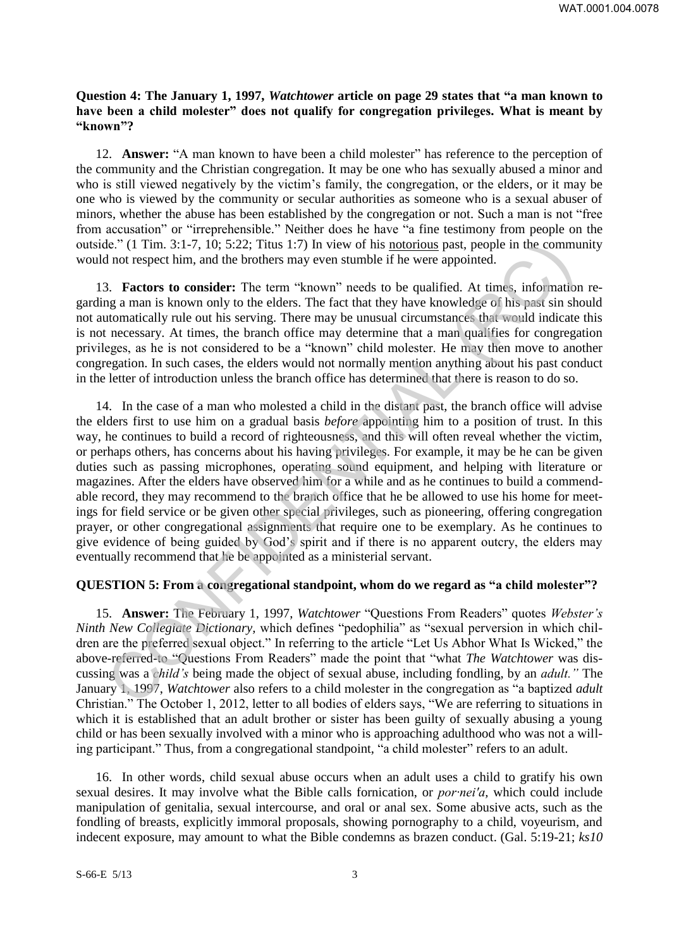### **Question 4: The January 1, 1997,** *Watchtower* **article on page 29 states that "a man known to have been a child molester" does not qualify for congregation privileges. What is meant by "known"?**

12. **Answer:** "A man known to have been a child molester" has reference to the perception of the community and the Christian congregation. It may be one who has sexually abused a minor and who is still viewed negatively by the victim's family, the congregation, or the elders, or it may be one who is viewed by the community or secular authorities as someone who is a sexual abuser of minors, whether the abuse has been established by the congregation or not. Such a man is not "free from accusation" or "irreprehensible." Neither does he have "a fine testimony from people on the outside." (1 Tim. 3:1-7, 10; 5:22; Titus 1:7) In view of his notorious past, people in the community would not respect him, and the brothers may even stumble if he were appointed.

13. **Factors to consider:** The term "known" needs to be qualified. At times, information regarding a man is known only to the elders. The fact that they have knowledge of his past sin should not automatically rule out his serving. There may be unusual circumstances that would indicate this is not necessary. At times, the branch office may determine that a man qualifies for congregation privileges, as he is not considered to be a "known" child molester. He may then move to another congregation. In such cases, the elders would not normally mention anything about his past conduct in the letter of introduction unless the branch office has determined that there is reason to do so.

14. In the case of a man who molested a child in the distant past, the branch office will advise the elders first to use him on a gradual basis *before* appointing him to a position of trust. In this way, he continues to build a record of righteousness, and this will often reveal whether the victim, or perhaps others, has concerns about his having privileges. For example, it may be he can be given duties such as passing microphones, operating sound equipment, and helping with literature or magazines. After the elders have observed him for a while and as he continues to build a commendable record, they may recommend to the branch office that he be allowed to use his home for meetings for field service or be given other special privileges, such as pioneering, offering congregation prayer, or other congregational assignments that require one to be exemplary. As he continues to give evidence of being guided by God's spirit and if there is no apparent outcry, the elders may eventually recommend that he be appointed as a ministerial servant. Le." (1 Tim. 3:1-7, 10; 5:22; Tius 1:7) In view of his <u>notorions</u> past, people in the communion of not respect tim, and the brothers may even with bis incorection, and the communion of a **S**. **Eactors to consider:** The t

# **QUESTION 5: From a congregational standpoint, whom do we regard as "a child molester"?**

15. **Answer:** The February 1, 1997, *Watchtower* "Questions From Readers" quotes *Webster's Ninth New Collegiate Dictionary,* which defines "pedophilia" as "sexual perversion in which children are the preferred sexual object." In referring to the article "Let Us Abhor What Is Wicked," the above-referred-to "Questions From Readers" made the point that "what *The Watchtower* was discussing was a *child's* being made the object of sexual abuse, including fondling, by an *adult."* The January 1, 1997, *Watchtower* also refers to a child molester in the congregation as "a baptized *adult* Christian." The October 1, 2012, letter to all bodies of elders says, "We are referring to situations in which it is established that an adult brother or sister has been guilty of sexually abusing a young child or has been sexually involved with a minor who is approaching adulthood who was not a willing participant." Thus, from a congregational standpoint, "a child molester" refers to an adult.

16. In other words, child sexual abuse occurs when an adult uses a child to gratify his own sexual desires. It may involve what the Bible calls fornication, or *por·nei′a,* which could include manipulation of genitalia, sexual intercourse, and oral or anal sex. Some abusive acts, such as the fondling of breasts, explicitly immoral proposals, showing pornography to a child, voyeurism, and indecent exposure, may amount to what the Bible condemns as brazen conduct. (Gal. 5:19-21; *ks10*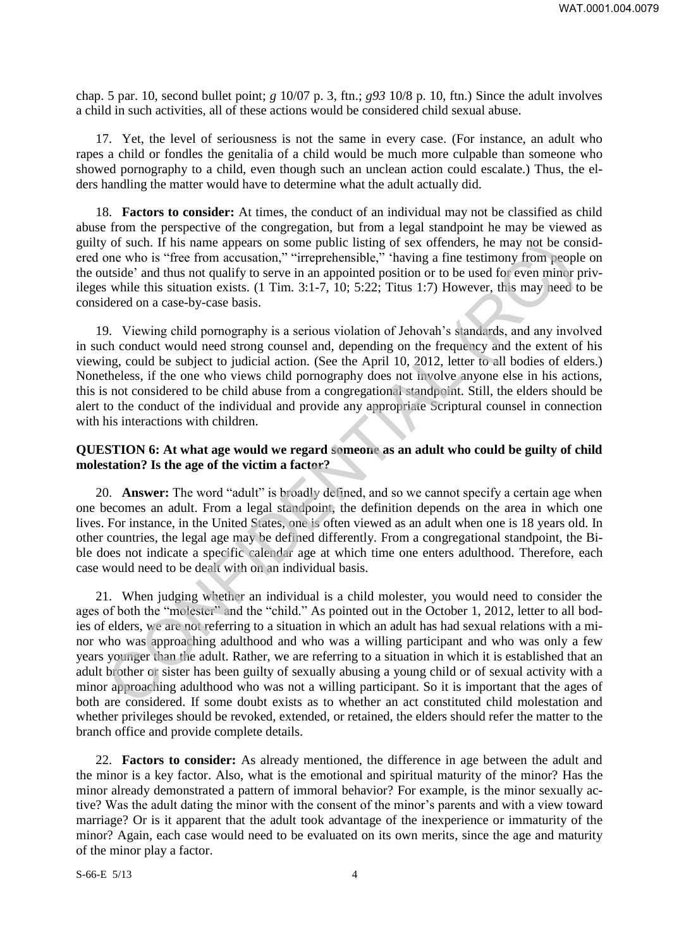chap. 5 par. 10, second bullet point; *g* 10/07 p. 3, ftn.; *g93* 10/8 p. 10, ftn.) Since the adult involves a child in such activities, all of these actions would be considered child sexual abuse.

17. Yet, the level of seriousness is not the same in every case. (For instance, an adult who rapes a child or fondles the genitalia of a child would be much more culpable than someone who showed pornography to a child, even though such an unclean action could escalate.) Thus, the elders handling the matter would have to determine what the adult actually did.

18. **Factors to consider:** At times, the conduct of an individual may not be classified as child abuse from the perspective of the congregation, but from a legal standpoint he may be viewed as guilty of such. If his name appears on some public listing of sex offenders, he may not be considered one who is "free from accusation," "irreprehensible," 'having a fine testimony from people on the outside' and thus not qualify to serve in an appointed position or to be used for even minor privileges while this situation exists. (1 Tim. 3:1-7, 10; 5:22; Titus 1:7) However, this may need to be considered on a case-by-case basis.

19. Viewing child pornography is a serious violation of Jehovah's standards, and any involved in such conduct would need strong counsel and, depending on the frequency and the extent of his viewing, could be subject to judicial action. (See the April 10, 2012, letter to all bodies of elders.) Nonetheless, if the one who views child pornography does not involve anyone else in his actions, this is not considered to be child abuse from a congregational standpoint. Still, the elders should be alert to the conduct of the individual and provide any appropriate Scriptural counsel in connection with his interactions with children.

#### **QUESTION 6: At what age would we regard someone as an adult who could be guilty of child molestation? Is the age of the victim a factor?**

20. **Answer:** The word "adult" is broadly defined, and so we cannot specify a certain age when one becomes an adult. From a legal standpoint, the definition depends on the area in which one lives. For instance, in the United States, one is often viewed as an adult when one is 18 years old. In other countries, the legal age may be defined differently. From a congregational standpoint, the Bible does not indicate a specific calendar age at which time one enters adulthood. Therefore, each case would need to be dealt with on an individual basis.

21. When judging whether an individual is a child molester, you would need to consider the ages of both the "molester" and the "child." As pointed out in the October 1, 2012, letter to all bodies of elders, we are not referring to a situation in which an adult has had sexual relations with a minor who was approaching adulthood and who was a willing participant and who was only a few years younger than the adult. Rather, we are referring to a situation in which it is established that an adult brother or sister has been guilty of sexually abusing a young child or of sexual activity with a minor approaching adulthood who was not a willing participant. So it is important that the ages of both are considered. If some doubt exists as to whether an act constituted child molestation and whether privileges should be revoked, extended, or retained, the elders should refer the matter to the branch office and provide complete details. of such it in siname appears on some public listing of sex otherders, he may not be control.<br>The same appears on some public listing of sex otherders, he may not be controller and thus not qualify to serve in an appointed

22. **Factors to consider:** As already mentioned, the difference in age between the adult and the minor is a key factor. Also, what is the emotional and spiritual maturity of the minor? Has the minor already demonstrated a pattern of immoral behavior? For example, is the minor sexually active? Was the adult dating the minor with the consent of the minor's parents and with a view toward marriage? Or is it apparent that the adult took advantage of the inexperience or immaturity of the minor? Again, each case would need to be evaluated on its own merits, since the age and maturity of the minor play a factor.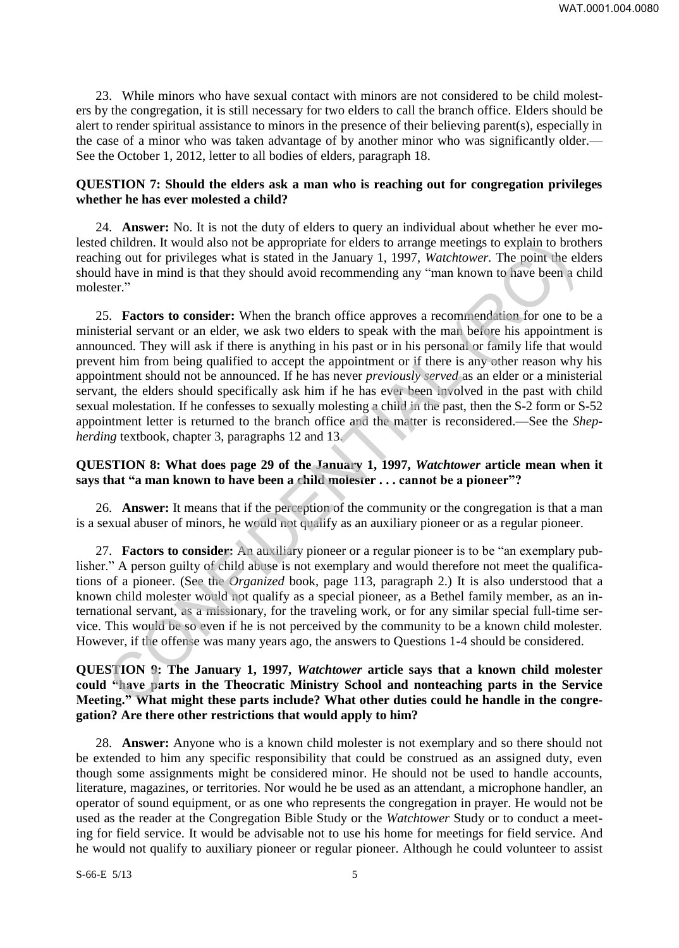23. While minors who have sexual contact with minors are not considered to be child molesters by the congregation, it is still necessary for two elders to call the branch office. Elders should be alert to render spiritual assistance to minors in the presence of their believing parent(s), especially in the case of a minor who was taken advantage of by another minor who was significantly older.— See the October 1, 2012, letter to all bodies of elders, paragraph 18.

### **QUESTION 7: Should the elders ask a man who is reaching out for congregation privileges whether he has ever molested a child?**

24. **Answer:** No. It is not the duty of elders to query an individual about whether he ever molested children. It would also not be appropriate for elders to arrange meetings to explain to brothers reaching out for privileges what is stated in the January 1, 1997, *Watchtower.* The point the elders should have in mind is that they should avoid recommending any "man known to have been a child molester."

25. **Factors to consider:** When the branch office approves a recommendation for one to be a ministerial servant or an elder, we ask two elders to speak with the man before his appointment is announced. They will ask if there is anything in his past or in his personal or family life that would prevent him from being qualified to accept the appointment or if there is any other reason why his appointment should not be announced. If he has never *previously served* as an elder or a ministerial servant, the elders should specifically ask him if he has ever been involved in the past with child sexual molestation. If he confesses to sexually molesting a child in the past, then the S-2 form or S-52 appointment letter is returned to the branch office and the matter is reconsidered.—See the *Shepherding* textbook, chapter 3, paragraphs 12 and 13. churate. It would also not be appropare for electric or acrossor carrenge meetings to expain to brother in evaluation. It was not be a home per section in the set of the set of the set of the set of the set of the set of

# **QUESTION 8: What does page 29 of the January 1, 1997,** *Watchtower* **article mean when it says that "a man known to have been a child molester . . . cannot be a pioneer"?**

26. **Answer:** It means that if the perception of the community or the congregation is that a man is a sexual abuser of minors, he would not qualify as an auxiliary pioneer or as a regular pioneer.

27. **Factors to consider:** An auxiliary pioneer or a regular pioneer is to be "an exemplary publisher." A person guilty of child abuse is not exemplary and would therefore not meet the qualifications of a pioneer. (See the *Organized* book, page 113, paragraph 2.) It is also understood that a known child molester would not qualify as a special pioneer, as a Bethel family member, as an international servant, as a missionary, for the traveling work, or for any similar special full-time service. This would be so even if he is not perceived by the community to be a known child molester. However, if the offense was many years ago, the answers to Questions 1-4 should be considered.

# **QUESTION 9: The January 1, 1997,** *Watchtower* **article says that a known child molester could "have parts in the Theocratic Ministry School and nonteaching parts in the Service Meeting." What might these parts include? What other duties could he handle in the congregation? Are there other restrictions that would apply to him?**

28. **Answer:** Anyone who is a known child molester is not exemplary and so there should not be extended to him any specific responsibility that could be construed as an assigned duty, even though some assignments might be considered minor. He should not be used to handle accounts, literature, magazines, or territories. Nor would he be used as an attendant, a microphone handler, an operator of sound equipment, or as one who represents the congregation in prayer. He would not be used as the reader at the Congregation Bible Study or the *Watchtower* Study or to conduct a meeting for field service. It would be advisable not to use his home for meetings for field service. And he would not qualify to auxiliary pioneer or regular pioneer. Although he could volunteer to assist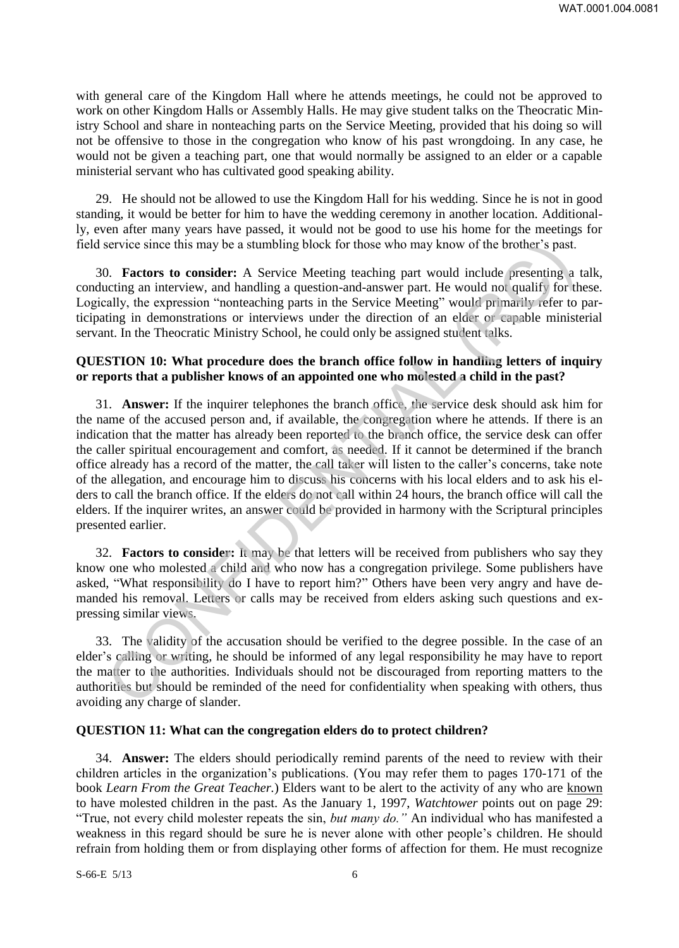with general care of the Kingdom Hall where he attends meetings, he could not be approved to work on other Kingdom Halls or Assembly Halls. He may give student talks on the Theocratic Ministry School and share in nonteaching parts on the Service Meeting, provided that his doing so will not be offensive to those in the congregation who know of his past wrongdoing. In any case, he would not be given a teaching part, one that would normally be assigned to an elder or a capable ministerial servant who has cultivated good speaking ability.

29. He should not be allowed to use the Kingdom Hall for his wedding. Since he is not in good standing, it would be better for him to have the wedding ceremony in another location. Additionally, even after many years have passed, it would not be good to use his home for the meetings for field service since this may be a stumbling block for those who may know of the brother's past.

30. **Factors to consider:** A Service Meeting teaching part would include presenting a talk, conducting an interview, and handling a question-and-answer part. He would not qualify for these. Logically, the expression "nonteaching parts in the Service Meeting" would primarily refer to participating in demonstrations or interviews under the direction of an elder or capable ministerial servant. In the Theocratic Ministry School, he could only be assigned student talks.

#### **QUESTION 10: What procedure does the branch office follow in handling letters of inquiry or reports that a publisher knows of an appointed one who molested a child in the past?**

31. **Answer:** If the inquirer telephones the branch office, the service desk should ask him for the name of the accused person and, if available, the congregation where he attends. If there is an indication that the matter has already been reported to the branch office, the service desk can offer the caller spiritual encouragement and comfort, as needed. If it cannot be determined if the branch office already has a record of the matter, the call taker will listen to the caller's concerns, take note of the allegation, and encourage him to discuss his concerns with his local elders and to ask his elders to call the branch office. If the elders do not call within 24 hours, the branch office will call the elders. If the inquirer writes, an answer could be provided in harmony with the Scriptural principles presented earlier. service since this may be a stumbling block for those who may know of the brother's past.<br>
D. Factors to consider: A Service Meeting teaching part would include presenting a activity, and handling a question-and-answer par

32. **Factors to consider:** It may be that letters will be received from publishers who say they know one who molested a child and who now has a congregation privilege. Some publishers have asked, "What responsibility do I have to report him?" Others have been very angry and have demanded his removal. Letters or calls may be received from elders asking such questions and expressing similar views.

33. The validity of the accusation should be verified to the degree possible. In the case of an elder's calling or writing, he should be informed of any legal responsibility he may have to report the matter to the authorities. Individuals should not be discouraged from reporting matters to the authorities but should be reminded of the need for confidentiality when speaking with others, thus avoiding any charge of slander.

#### **QUESTION 11: What can the congregation elders do to protect children?**

34. **Answer:** The elders should periodically remind parents of the need to review with their children articles in the organization's publications. (You may refer them to pages 170-171 of the book *Learn From the Great Teacher.*) Elders want to be alert to the activity of any who are known to have molested children in the past. As the January 1, 1997, *Watchtower* points out on page 29: "True, not every child molester repeats the sin, *but many do."* An individual who has manifested a weakness in this regard should be sure he is never alone with other people's children. He should refrain from holding them or from displaying other forms of affection for them. He must recognize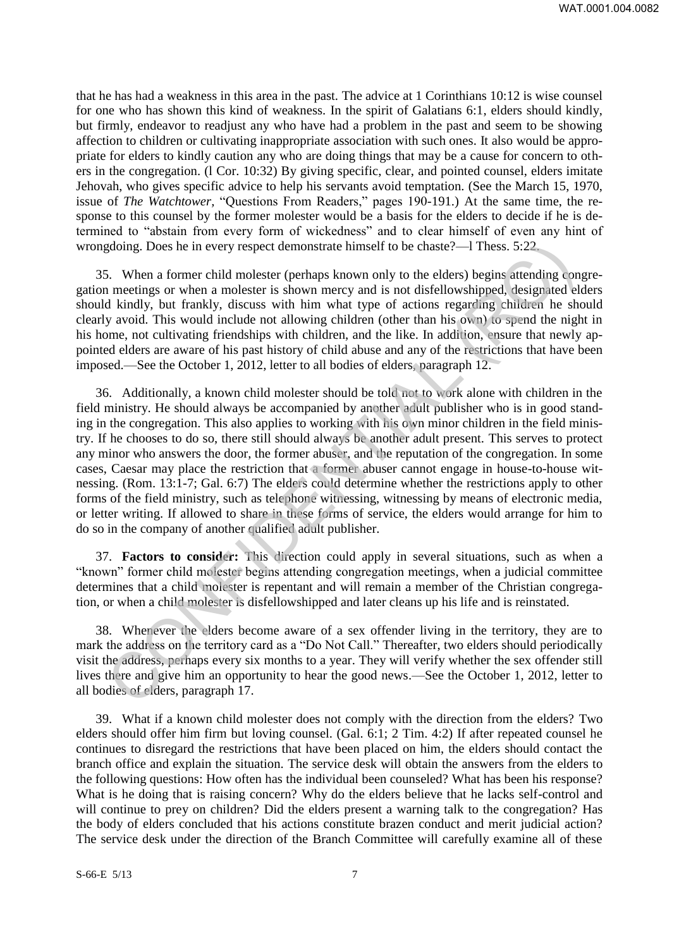that he has had a weakness in this area in the past. The advice at 1 Corinthians 10:12 is wise counsel for one who has shown this kind of weakness. In the spirit of Galatians 6:1, elders should kindly, but firmly, endeavor to readjust any who have had a problem in the past and seem to be showing affection to children or cultivating inappropriate association with such ones. It also would be appropriate for elders to kindly caution any who are doing things that may be a cause for concern to others in the congregation. (l Cor. 10:32) By giving specific, clear, and pointed counsel, elders imitate Jehovah, who gives specific advice to help his servants avoid temptation. (See the March 15, 1970, issue of *The Watchtower,* "Questions From Readers," pages 190-191.) At the same time, the response to this counsel by the former molester would be a basis for the elders to decide if he is determined to "abstain from every form of wickedness" and to clear himself of even any hint of wrongdoing. Does he in every respect demonstrate himself to be chaste?—l Thess. 5:22.

35. When a former child molester (perhaps known only to the elders) begins attending congregation meetings or when a molester is shown mercy and is not disfellowshipped, designated elders should kindly, but frankly, discuss with him what type of actions regarding children he should clearly avoid. This would include not allowing children (other than his own) to spend the night in his home, not cultivating friendships with children, and the like. In addition, ensure that newly appointed elders are aware of his past history of child abuse and any of the restrictions that have been imposed.—See the October 1, 2012, letter to all bodies of elders, paragraph 12.

36. Additionally, a known child molester should be told not to work alone with children in the field ministry. He should always be accompanied by another adult publisher who is in good standing in the congregation. This also applies to working with his own minor children in the field ministry. If he chooses to do so, there still should always be another adult present. This serves to protect any minor who answers the door, the former abuser, and the reputation of the congregation. In some cases, Caesar may place the restriction that a former abuser cannot engage in house-to-house witnessing. (Rom. 13:1-7; Gal. 6:7) The elders could determine whether the restrictions apply to other forms of the field ministry, such as telephone witnessing, witnessing by means of electronic media, or letter writing. If allowed to share in these forms of service, the elders would arrange for him to do so in the company of another qualified adult publisher. gloing. Does he in every respect demonstrate himself to be chaste?—I Thess. 5:22<br>
S. When a former child molester (perhaps known only to the elders) begins attending con<br>
meetings or when a molester is shown mery and is no

37. **Factors to consider:** This direction could apply in several situations, such as when a "known" former child molester begins attending congregation meetings, when a judicial committee determines that a child molester is repentant and will remain a member of the Christian congregation, or when a child molester is disfellowshipped and later cleans up his life and is reinstated.

38. Whenever the elders become aware of a sex offender living in the territory, they are to mark the address on the territory card as a "Do Not Call." Thereafter, two elders should periodically visit the address, perhaps every six months to a year. They will verify whether the sex offender still lives there and give him an opportunity to hear the good news.—See the October 1, 2012, letter to all bodies of elders, paragraph 17.

39. What if a known child molester does not comply with the direction from the elders? Two elders should offer him firm but loving counsel. (Gal. 6:1; 2 Tim. 4:2) If after repeated counsel he continues to disregard the restrictions that have been placed on him, the elders should contact the branch office and explain the situation. The service desk will obtain the answers from the elders to the following questions: How often has the individual been counseled? What has been his response? What is he doing that is raising concern? Why do the elders believe that he lacks self-control and will continue to prey on children? Did the elders present a warning talk to the congregation? Has the body of elders concluded that his actions constitute brazen conduct and merit judicial action? The service desk under the direction of the Branch Committee will carefully examine all of these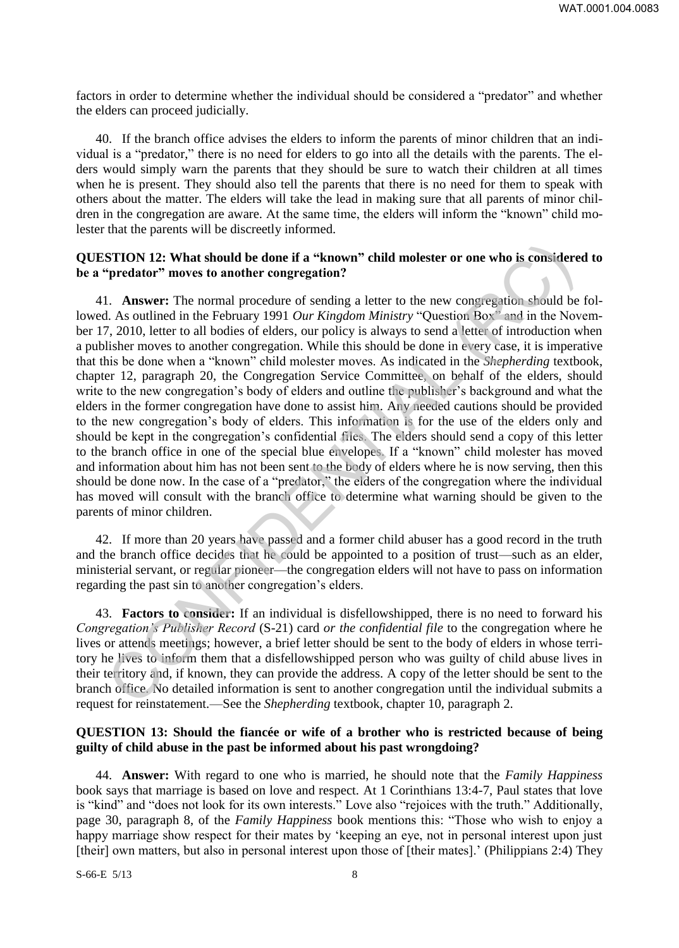factors in order to determine whether the individual should be considered a "predator" and whether the elders can proceed judicially.

40. If the branch office advises the elders to inform the parents of minor children that an individual is a "predator," there is no need for elders to go into all the details with the parents. The elders would simply warn the parents that they should be sure to watch their children at all times when he is present. They should also tell the parents that there is no need for them to speak with others about the matter. The elders will take the lead in making sure that all parents of minor children in the congregation are aware. At the same time, the elders will inform the "known" child molester that the parents will be discreetly informed.

### **QUESTION 12: What should be done if a "known" child molester or one who is considered to be a "predator" moves to another congregation?**

41. **Answer:** The normal procedure of sending a letter to the new congregation should be followed. As outlined in the February 1991 *Our Kingdom Ministry* "Question Box" and in the November 17, 2010, letter to all bodies of elders, our policy is always to send a letter of introduction when a publisher moves to another congregation. While this should be done in every case, it is imperative that this be done when a "known" child molester moves. As indicated in the *Shepherding* textbook, chapter 12, paragraph 20, the Congregation Service Committee, on behalf of the elders, should write to the new congregation's body of elders and outline the publisher's background and what the elders in the former congregation have done to assist him. Any needed cautions should be provided to the new congregation's body of elders. This information is for the use of the elders only and should be kept in the congregation's confidential files. The elders should send a copy of this letter to the branch office in one of the special blue envelopes. If a "known" child molester has moved and information about him has not been sent to the body of elders where he is now serving, then this should be done now. In the case of a "predator," the elders of the congregation where the individual has moved will consult with the branch office to determine what warning should be given to the parents of minor children. **STION 12: What should be done if a "known" child molester or one who is considere<br>
predator" moves to another congregation?**<br>
1. Answer: The normal procedure of sending a letter to the new congregation should be<br>
1. As o

42. If more than 20 years have passed and a former child abuser has a good record in the truth and the branch office decides that he could be appointed to a position of trust—such as an elder, ministerial servant, or regular pioneer—the congregation elders will not have to pass on information regarding the past sin to another congregation's elders.

43. **Factors to consider:** If an individual is disfellowshipped, there is no need to forward his *Congregation's Publisher Record* (S-21) card *or the confidential file* to the congregation where he lives or attends meetings; however, a brief letter should be sent to the body of elders in whose territory he lives to inform them that a disfellowshipped person who was guilty of child abuse lives in their territory and, if known, they can provide the address. A copy of the letter should be sent to the branch office. No detailed information is sent to another congregation until the individual submits a request for reinstatement.—See the *Shepherding* textbook, chapter 10, paragraph 2.

### **QUESTION 13: Should the fiancée or wife of a brother who is restricted because of being guilty of child abuse in the past be informed about his past wrongdoing?**

44. **Answer:** With regard to one who is married, he should note that the *Family Happiness* book says that marriage is based on love and respect. At 1 Corinthians 13:4-7, Paul states that love is "kind" and "does not look for its own interests." Love also "rejoices with the truth." Additionally, page 30, paragraph 8, of the *Family Happiness* book mentions this: "Those who wish to enjoy a happy marriage show respect for their mates by 'keeping an eye, not in personal interest upon just [their] own matters, but also in personal interest upon those of [their mates].' (Philippians 2:4) They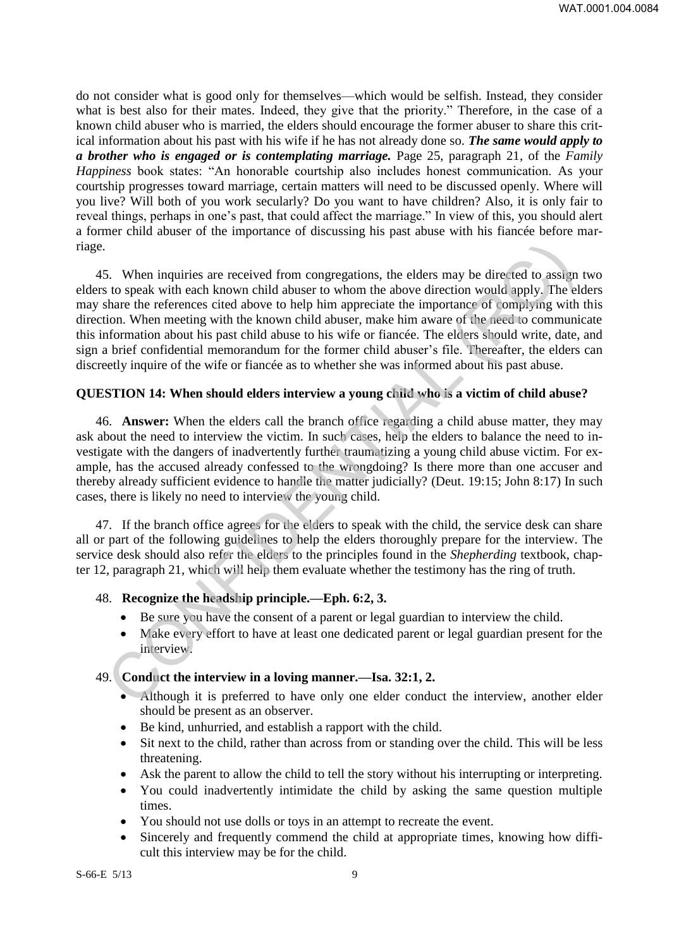do not consider what is good only for themselves—which would be selfish. Instead, they consider what is best also for their mates. Indeed, they give that the priority." Therefore, in the case of a known child abuser who is married, the elders should encourage the former abuser to share this critical information about his past with his wife if he has not already done so. *The same would apply to a brother who is engaged or is contemplating marriage.* Page 25, paragraph 21, of the *Family Happiness* book states: "An honorable courtship also includes honest communication. As your courtship progresses toward marriage, certain matters will need to be discussed openly. Where will you live? Will both of you work secularly? Do you want to have children? Also, it is only fair to reveal things, perhaps in one's past, that could affect the marriage." In view of this, you should alert a former child abuser of the importance of discussing his past abuse with his fiancée before marriage.

45. When inquiries are received from congregations, the elders may be directed to assign two elders to speak with each known child abuser to whom the above direction would apply. The elders may share the references cited above to help him appreciate the importance of complying with this direction. When meeting with the known child abuser, make him aware of the need to communicate this information about his past child abuse to his wife or fiancée. The elders should write, date, and sign a brief confidential memorandum for the former child abuser's file. Thereafter, the elders can discreetly inquire of the wife or fiancée as to whether she was informed about his past abuse. 5. When inquiries are received from congregations, the elders may be directed to assem to speak with each known child abuser to whom the alove direction would apply. The elders when the references cited above to help him

# **QUESTION 14: When should elders interview a young child who is a victim of child abuse?**

46. **Answer:** When the elders call the branch office regarding a child abuse matter, they may ask about the need to interview the victim. In such cases, help the elders to balance the need to investigate with the dangers of inadvertently further traumatizing a young child abuse victim. For example, has the accused already confessed to the wrongdoing? Is there more than one accuser and thereby already sufficient evidence to handle the matter judicially? (Deut. 19:15; John 8:17) In such cases, there is likely no need to interview the young child.

47. If the branch office agrees for the elders to speak with the child, the service desk can share all or part of the following guidelines to help the elders thoroughly prepare for the interview. The service desk should also refer the elders to the principles found in the *Shepherding* textbook, chapter 12, paragraph 21, which will help them evaluate whether the testimony has the ring of truth.

#### 48. **Recognize the headship principle.—Eph. 6:2, 3.**

- Be sure you have the consent of a parent or legal guardian to interview the child.
- Make every effort to have at least one dedicated parent or legal guardian present for the interview.

# 49. **Conduct the interview in a loving manner.—Isa. 32:1, 2.**

- Although it is preferred to have only one elder conduct the interview, another elder should be present as an observer.
- Be kind, unhurried, and establish a rapport with the child.
- Sit next to the child, rather than across from or standing over the child. This will be less threatening.
- Ask the parent to allow the child to tell the story without his interrupting or interpreting.
- You could inadvertently intimidate the child by asking the same question multiple times.
- You should not use dolls or toys in an attempt to recreate the event.
- Sincerely and frequently commend the child at appropriate times, knowing how difficult this interview may be for the child.